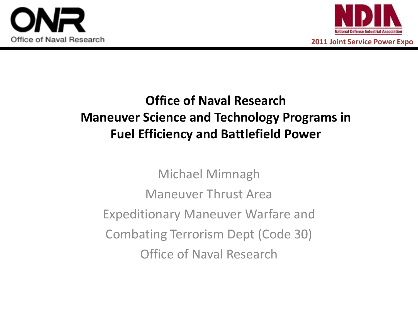



**2011 Joint Service Power Expo**

# **Office of Naval Research Maneuver Science and Technology Programs in Fuel Efficiency and Battlefield Power**

Michael Mimnagh Maneuver Thrust Area Expeditionary Maneuver Warfare and Combating Terrorism Dept (Code 30) Office of Naval Research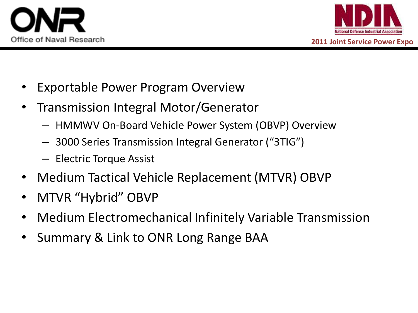



- Exportable Power Program Overview
- Transmission Integral Motor/Generator
	- HMMWV On-Board Vehicle Power System (OBVP) Overview
	- 3000 Series Transmission Integral Generator ("3TIG")
	- Electric Torque Assist
- Medium Tactical Vehicle Replacement (MTVR) OBVP
- MTVR "Hybrid" OBVP
- Medium Electromechanical Infinitely Variable Transmission
- Summary & Link to ONR Long Range BAA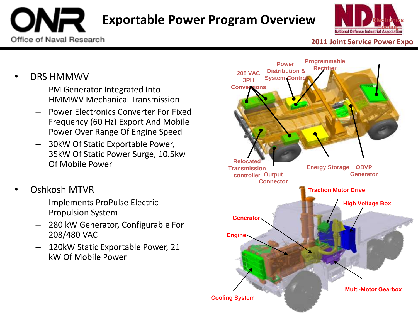# **[E](http://www.onr.navy.mil/en.aspx)xportable Power Program Overview**



#### **2011 Joint Service Power Expo**

• DRS HMMWV

Office of Naval Research

- PM Generator Integrated Into HMMWV Mechanical Transmission
- Power Electronics Converter For Fixed Frequency (60 Hz) Export And Mobile Power Over Range Of Engine Speed
- 30kW Of Static Exportable Power, 35kW Of Static Power Surge, 10.5kw Of Mobile Power
- Oshkosh MTVR
	- Implements ProPulse Electric Propulsion System
	- 280 kW Generator, Configurable For 208/480 VAC
	- 120kW Static Exportable Power, 21 kW Of Mobile Power

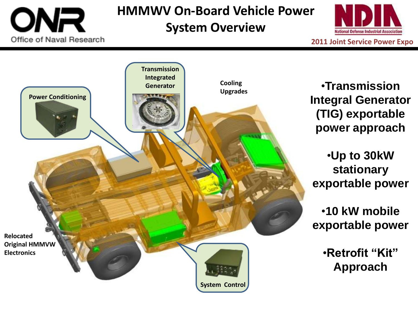

# **HMMWV On-Board Vehicle Power System Overview**



**2011 Joint Service Power Expo**



•**Transmission Integral Generator (TIG) exportable power approach**

•**Up to 30kW stationary exportable power** 

•**10 kW mobile exportable power**

> •**Retrofit "Kit" Approach**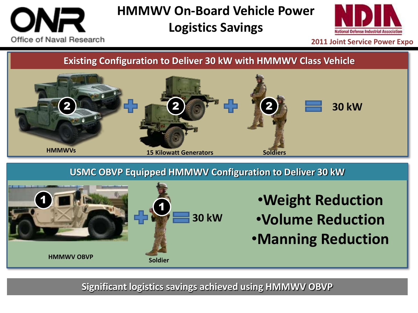# Office of Naval Research

# **HMMWV On-Board Vehicle Power Logistics Savings**



**2011 Joint Service Power Expo**

**Existing Configuration to Deliver 30 kW with HMMWV Class Vehicle**



**USMC OBVP Equipped HMMWV Configuration to Deliver 30 kW**



# •**Weight Reduction**

- •**Volume Reduction**
- •**Manning Reduction**

**Significant logistics savings achieved using HMMWV OBVP**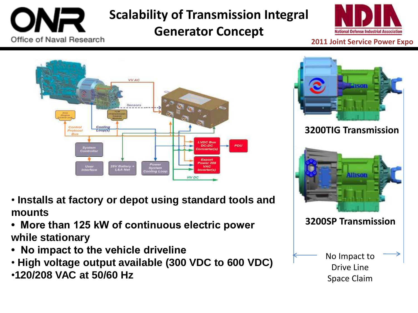

**Scalability of Transmission Integral** 

### **Generator Concept**





- **Installs at factory or depot using standard tools and mounts**
- **More than 125 kW of continuous electric power while stationary**
- **No impact to the vehicle driveline**
- **High voltage output available (300 VDC to 600 VDC)**
- •**120/208 VAC at 50/60 Hz**

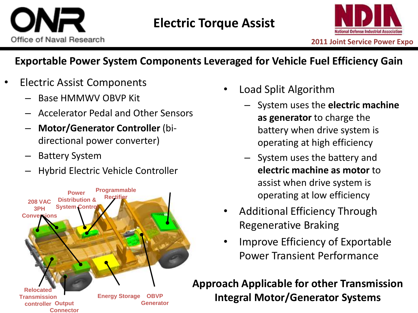

### **Exportable Power System Components Leveraged for Vehicle Fuel Efficiency Gain**

- Electric Assist Components
	- Base HMMWV OBVP Kit
	- Accelerator Pedal and Other Sensors
	- **Motor/Generator Controller** (bidirectional power converter)
	- Battery System
	- Hybrid Electric Vehicle Controller



- Load Split Algorithm
	- System uses the **electric machine as generator** to charge the battery when drive system is operating at high efficiency
	- System uses the battery and **electric machine as motor** to assist when drive system is operating at low efficiency
- Additional Efficiency Through Regenerative Braking
- Improve Efficiency of Exportable Power Transient Performance

**Approach Applicable for other Transmission Integral Motor/Generator Systems**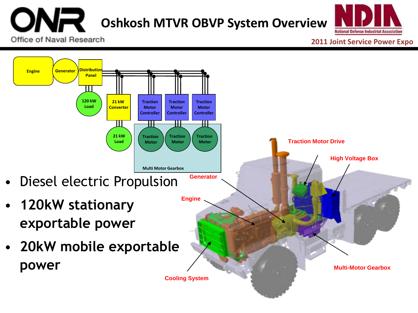### NR **[O](http://www.onr.navy.mil/en.aspx)shkosh MTVR OBVP System Overview** Office of Naval Research

National Defense Industrial Association

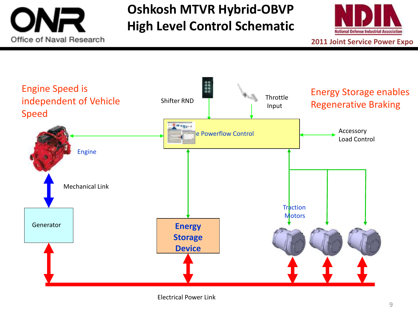

# **Oshkosh MTVR Hybrid-OBVP High Level Control Schematic**



**2011 Joint Service Power Expo**



Electrical Power Link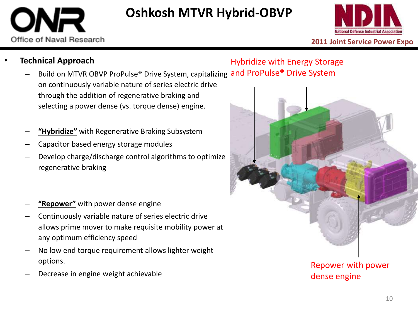

# **Oshkosh MTVR Hybrid-OBVP**



**2011 Joint Service Power Expo**

#### • **Technical Approach**

### Hybridize with Energy Storage

- Build on MTVR OBVP ProPulse® Drive System, capitalizing and ProPulse® Drive System on continuously variable nature of series electric drive through the addition of regenerative braking and selecting a power dense (vs. torque dense) engine.
- **"Hybridize"** with Regenerative Braking Subsystem
- Capacitor based energy storage modules
- Develop charge/discharge control algorithms to optimize regenerative braking
- **"Repower"** with power dense engine
- Continuously variable nature of series electric drive allows prime mover to make requisite mobility power at any optimum efficiency speed
- No low end torque requirement allows lighter weight options.
- Decrease in engine weight achievable



dense engine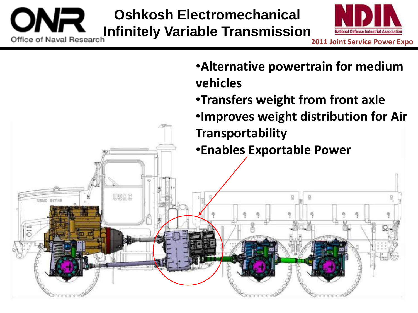## **Oshkosh Electromechanical [I](http://www.onr.navy.mil/en.aspx)FFERENT INFIDELITY Infinitely Variable Transmission** lational Defense Industrial Associatio **2011 Joint Service Power Expo**

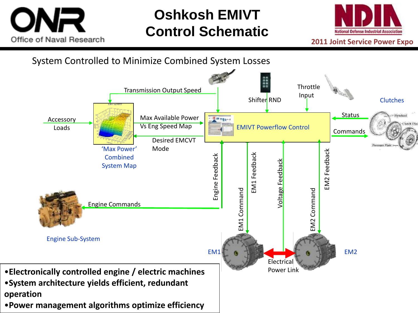

# **Oshkosh EMIVT Control Schematic**



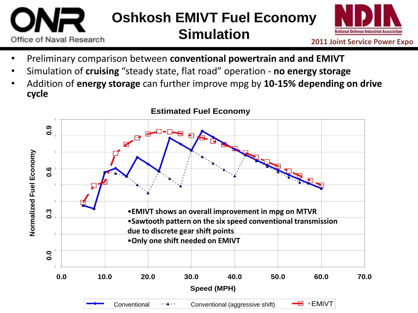### **Oshkosh EMIVT Fuel Economy Simulation** Office of Naval Research



- Preliminary comparison between **conventional powertrain and and EMIVT**
- Simulation of **cruising** "steady state, flat road" operation **no energy storage**
- Addition of **energy storage** can further improve mpg by **10-15% depending on drive cycle**

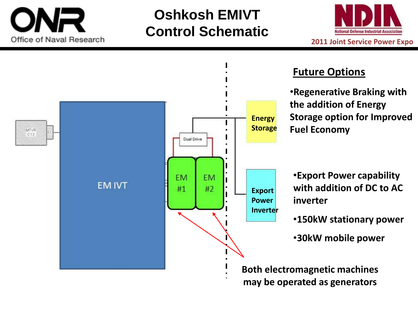

# **Oshkosh EMIVT Control Schematic**